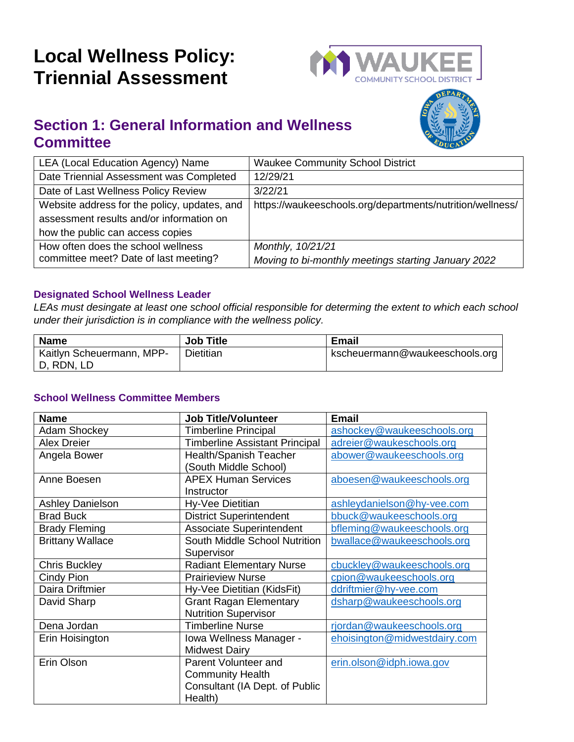# **Local Wellness Policy: Triennial Assessment**



### **Section 1: General Information and Wellness Committee**



| LEA (Local Education Agency) Name            | <b>Waukee Community School District</b>                   |
|----------------------------------------------|-----------------------------------------------------------|
| Date Triennial Assessment was Completed      | 12/29/21                                                  |
| Date of Last Wellness Policy Review          | 3/22/21                                                   |
| Website address for the policy, updates, and | https://waukeeschools.org/departments/nutrition/wellness/ |
| assessment results and/or information on     |                                                           |
| how the public can access copies             |                                                           |
| How often does the school wellness           | Monthly, 10/21/21                                         |
| committee meet? Date of last meeting?        | Moving to bi-monthly meetings starting January 2022       |

#### **Designated School Wellness Leader**

*LEAs must desingate at least one school official responsible for determing the extent to which each school under their jurisdiction is in compliance with the wellness policy.* 

| <b>Name</b>               | <b>Job Title</b> | Email                          |
|---------------------------|------------------|--------------------------------|
| Kaitlyn Scheuermann, MPP- | I Dietitian      | kscheuermann@waukeeschools.org |
| └D, RDN, LD               |                  |                                |

#### **School Wellness Committee Members**

| <b>Name</b>             | <b>Job Title/Volunteer</b>            | <b>Email</b>                 |
|-------------------------|---------------------------------------|------------------------------|
| Adam Shockey            | <b>Timberline Principal</b>           | ashockey@waukeeschools.org   |
| <b>Alex Dreier</b>      | <b>Timberline Assistant Principal</b> | adreier@waukeschools.org     |
| Angela Bower            | <b>Health/Spanish Teacher</b>         | abower@waukeeschools.org     |
|                         | South Middle School)                  |                              |
| Anne Boesen             | <b>APEX Human Services</b>            | aboesen@waukeeschools.org    |
|                         | Instructor                            |                              |
| <b>Ashley Danielson</b> | Hy-Vee Dietitian                      | ashleydanielson@hy-vee.com   |
| <b>Brad Buck</b>        | <b>District Superintendent</b>        | bbuck@waukeeschools.org      |
| <b>Brady Fleming</b>    | <b>Associate Superintendent</b>       | bfleming@waukeeschools.org   |
| <b>Brittany Wallace</b> | South Middle School Nutrition         | bwallace@waukeeschools.org   |
|                         | Supervisor                            |                              |
| <b>Chris Buckley</b>    | <b>Radiant Elementary Nurse</b>       | cbuckley@waukeeschools.org   |
| Cindy Pion              | <b>Prairieview Nurse</b>              | cpion@waukeeschools.org      |
| Daira Driftmier         | Hy-Vee Dietitian (KidsFit)            | ddriftmier@hy-vee.com        |
| David Sharp             | <b>Grant Ragan Elementary</b>         | dsharp@waukeeschools.org     |
|                         | <b>Nutrition Supervisor</b>           |                              |
| Dena Jordan             | <b>Timberline Nurse</b>               | rjordan@waukeeschools.org    |
| Erin Hoisington         | Iowa Wellness Manager -               | ehoisington@midwestdairy.com |
|                         | <b>Midwest Dairy</b>                  |                              |
| Erin Olson              | Parent Volunteer and                  | erin.olson@idph.iowa.gov     |
|                         | <b>Community Health</b>               |                              |
|                         | Consultant (IA Dept. of Public        |                              |
|                         | Health)                               |                              |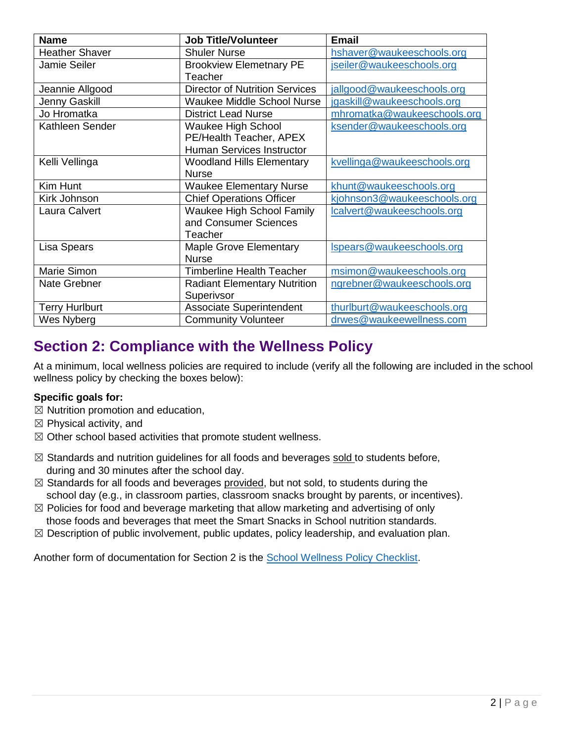| <b>Name</b>           | <b>Job Title/Volunteer</b>            | <b>Email</b>                |
|-----------------------|---------------------------------------|-----------------------------|
| <b>Heather Shaver</b> | <b>Shuler Nurse</b>                   | hshaver@waukeeschools.org   |
| <b>Jamie Seiler</b>   | <b>Brookview Elemetnary PE</b>        | jseiler@waukeeschools.org   |
|                       | Teacher                               |                             |
| Jeannie Allgood       | <b>Director of Nutrition Services</b> | jallgood@waukeeschools.org  |
| Jenny Gaskill         | <b>Waukee Middle School Nurse</b>     | jgaskill@waukeeschools.org  |
| Jo Hromatka           | <b>District Lead Nurse</b>            | mhromatka@waukeeschools.org |
| Kathleen Sender       | Waukee High School                    | ksender@waukeeschools.org   |
|                       | PE/Health Teacher, APEX               |                             |
|                       | <b>Human Services Instructor</b>      |                             |
| Kelli Vellinga        | <b>Woodland Hills Elementary</b>      | kvellinga@waukeeschools.org |
|                       | <b>Nurse</b>                          |                             |
| Kim Hunt              | <b>Waukee Elementary Nurse</b>        | khunt@waukeeschools.org     |
| Kirk Johnson          | <b>Chief Operations Officer</b>       | kjohnson3@waukeeschools.org |
| Laura Calvert         | <b>Waukee High School Family</b>      | lcalvert@waukeeschools.org  |
|                       | and Consumer Sciences                 |                             |
|                       | Teacher                               |                             |
| Lisa Spears           | <b>Maple Grove Elementary</b>         | Ispears@waukeeschools.org   |
|                       | <b>Nurse</b>                          |                             |
| Marie Simon           | <b>Timberline Health Teacher</b>      | msimon@waukeeschools.org    |
| Nate Grebner          | <b>Radiant Elementary Nutrition</b>   | ngrebner@waukeeschools.org  |
|                       | Superivsor                            |                             |
| <b>Terry Hurlburt</b> | <b>Associate Superintendent</b>       | thurlburt@waukeeschools.org |
| Wes Nyberg            | <b>Community Volunteer</b>            | drwes@waukeewellness.com    |

### **Section 2: Compliance with the Wellness Policy**

At a minimum, local wellness policies are required to include (verify all the following are included in the school wellness policy by checking the boxes below):

#### **Specific goals for:**

- $\boxtimes$  Nutrition promotion and education,
- $\boxtimes$  Physical activity, and
- ☒ Other school based activities that promote student wellness.
- ⊠ Standards and nutrition guidelines for all foods and beverages sold to students before, during and 30 minutes after the school day.
- $\boxtimes$  Standards for all foods and beverages provided, but not sold, to students during the school day (e.g., in classroom parties, classroom snacks brought by parents, or incentives).
- $\boxtimes$  Policies for food and beverage marketing that allow marketing and advertising of only those foods and beverages that meet the Smart Snacks in School nutrition standards.
- $\boxtimes$  Description of public involvement, public updates, policy leadership, and evaluation plan.

Another form of documentation for Section 2 is the [School Wellness Policy Checklist.](https://educateiowa.gov/sites/files/ed/documents/Wellness%20Policy%20Checklist_0.pdf)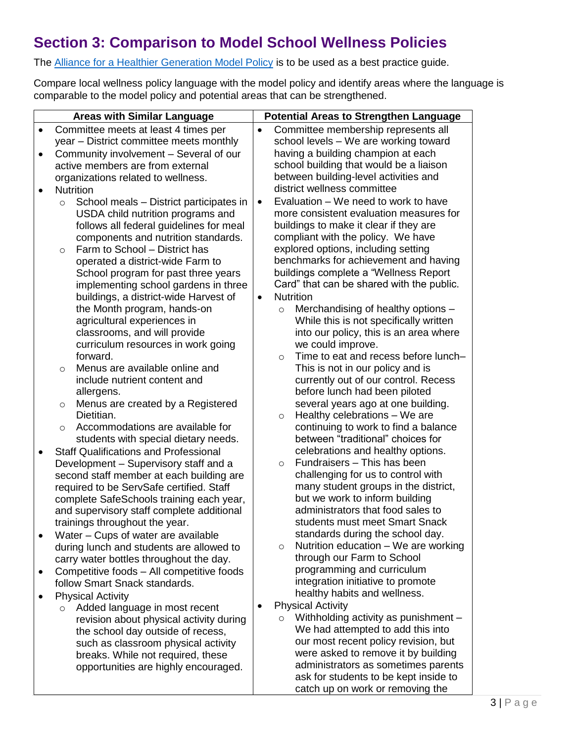## **Section 3: Comparison to Model School Wellness Policies**

The **Alliance for a Healthier Generation Model Policy** is to be used as a best practice guide.

Compare local wellness policy language with the model policy and identify areas where the language is comparable to the model policy and potential areas that can be strengthened.

|           | <b>Areas with Similar Language</b>                                 |           | <b>Potential Areas to Strengthen Language</b>                             |
|-----------|--------------------------------------------------------------------|-----------|---------------------------------------------------------------------------|
| $\bullet$ | Committee meets at least 4 times per                               | $\bullet$ | Committee membership represents all                                       |
|           | year - District committee meets monthly                            |           | school levels - We are working toward                                     |
| $\bullet$ | Community involvement - Several of our                             |           | having a building champion at each                                        |
|           | active members are from external                                   |           | school building that would be a liaison                                   |
|           | organizations related to wellness.                                 |           | between building-level activities and                                     |
| ٠         | <b>Nutrition</b>                                                   |           | district wellness committee                                               |
|           | School meals - District participates in<br>$\circ$                 | $\bullet$ | Evaluation - We need to work to have                                      |
|           | USDA child nutrition programs and                                  |           | more consistent evaluation measures for                                   |
|           | follows all federal guidelines for meal                            |           | buildings to make it clear if they are                                    |
|           | components and nutrition standards.                                |           | compliant with the policy. We have                                        |
|           | Farm to School - District has<br>$\circ$                           |           | explored options, including setting                                       |
|           | operated a district-wide Farm to                                   |           | benchmarks for achievement and having                                     |
|           | School program for past three years                                |           | buildings complete a "Wellness Report                                     |
|           | implementing school gardens in three                               |           | Card" that can be shared with the public.                                 |
|           |                                                                    |           | <b>Nutrition</b>                                                          |
|           | buildings, a district-wide Harvest of                              | $\bullet$ |                                                                           |
|           | the Month program, hands-on                                        |           | Merchandising of healthy options -<br>$\circ$                             |
|           | agricultural experiences in                                        |           | While this is not specifically written                                    |
|           | classrooms, and will provide<br>curriculum resources in work going |           | into our policy, this is an area where                                    |
|           | forward.                                                           |           | we could improve.<br>Time to eat and recess before lunch-                 |
|           | Menus are available online and                                     |           | $\circ$                                                                   |
|           | $\circ$<br>include nutrient content and                            |           | This is not in our policy and is                                          |
|           |                                                                    |           | currently out of our control. Recess                                      |
|           | allergens.                                                         |           | before lunch had been piloted                                             |
|           | Menus are created by a Registered<br>$\circ$                       |           | several years ago at one building.                                        |
|           | Dietitian.                                                         |           | Healthy celebrations - We are<br>$\circ$                                  |
|           | Accommodations are available for<br>$\circ$                        |           | continuing to work to find a balance<br>between "traditional" choices for |
|           | students with special dietary needs.                               |           |                                                                           |
| ٠         | <b>Staff Qualifications and Professional</b>                       |           | celebrations and healthy options.<br>Fundraisers - This has been          |
|           | Development - Supervisory staff and a                              |           | $\circ$                                                                   |
|           | second staff member at each building are                           |           | challenging for us to control with                                        |
|           | required to be ServSafe certified. Staff                           |           | many student groups in the district,                                      |
|           | complete SafeSchools training each year,                           |           | but we work to inform building<br>administrators that food sales to       |
|           | and supervisory staff complete additional                          |           | students must meet Smart Snack                                            |
|           | trainings throughout the year.                                     |           |                                                                           |
|           | Water - Cups of water are available                                |           | standards during the school day.<br>Nutrition education - We are working  |
|           | during lunch and students are allowed to                           |           | $\circ$<br>through our Farm to School                                     |
|           | carry water bottles throughout the day.                            |           |                                                                           |
|           | Competitive foods - All competitive foods                          |           | programming and curriculum                                                |
|           | follow Smart Snack standards.                                      |           | integration initiative to promote                                         |
|           | <b>Physical Activity</b>                                           |           | healthy habits and wellness.                                              |
|           | Added language in most recent<br>$\circ$                           |           | <b>Physical Activity</b>                                                  |
|           | revision about physical activity during                            |           | Withholding activity as punishment -<br>$\circ$                           |
|           | the school day outside of recess,                                  |           | We had attempted to add this into                                         |
|           | such as classroom physical activity                                |           | our most recent policy revision, but                                      |
|           | breaks. While not required, these                                  |           | were asked to remove it by building                                       |
|           | opportunities are highly encouraged.                               |           | administrators as sometimes parents                                       |
|           |                                                                    |           | ask for students to be kept inside to                                     |
|           |                                                                    |           | catch up on work or removing the                                          |